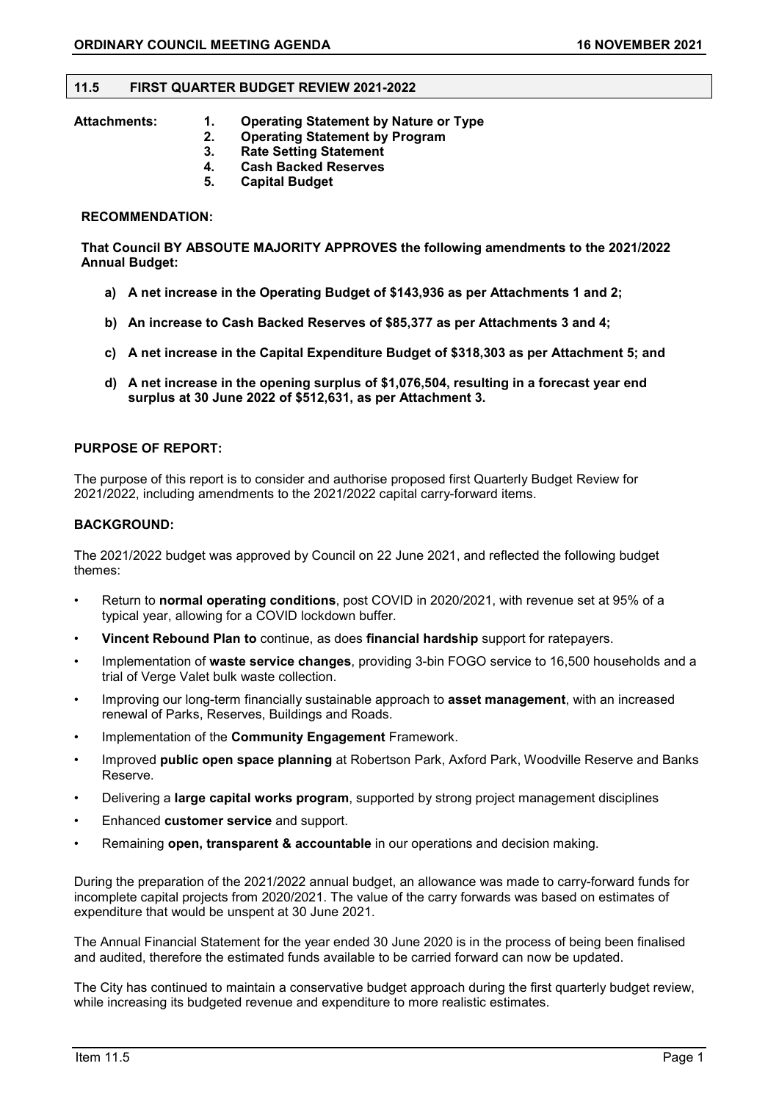#### **11.5 FIRST QUARTER BUDGET REVIEW 2021-2022**

- **Attachments: 1. Operating Statement by Nature or Type** 
	- **2. Operating Statement by Program**
	- **3. Rate Setting Statement**
	- **4. Cash Backed Reserves**
	- **5. Capital Budget**

#### **RECOMMENDATION:**

**That Council BY ABSOUTE MAJORITY APPROVES the following amendments to the 2021/2022 Annual Budget:**

- **a) A net increase in the Operating Budget of \$143,936 as per Attachments 1 and 2;**
- **b) An increase to Cash Backed Reserves of \$85,377 as per Attachments 3 and 4;**
- **c) A net increase in the Capital Expenditure Budget of \$318,303 as per Attachment 5; and**
- **d) A net increase in the opening surplus of \$1,076,504, resulting in a forecast year end surplus at 30 June 2022 of \$512,631, as per Attachment 3.**

#### **PURPOSE OF REPORT:**

The purpose of this report is to consider and authorise proposed first Quarterly Budget Review for 2021/2022, including amendments to the 2021/2022 capital carry-forward items.

#### **BACKGROUND:**

The 2021/2022 budget was approved by Council on 22 June 2021, and reflected the following budget themes:

- Return to **normal operating conditions**, post COVID in 2020/2021, with revenue set at 95% of a typical year, allowing for a COVID lockdown buffer.
- **Vincent Rebound Plan to** continue, as does **financial hardship** support for ratepayers.
- Implementation of **waste service changes**, providing 3-bin FOGO service to 16,500 households and a trial of Verge Valet bulk waste collection.
- Improving our long-term financially sustainable approach to **asset management**, with an increased renewal of Parks, Reserves, Buildings and Roads.
- Implementation of the **Community Engagement** Framework.
- Improved **public open space planning** at Robertson Park, Axford Park, Woodville Reserve and Banks Reserve.
- Delivering a **large capital works program**, supported by strong project management disciplines
- Enhanced **customer service** and support.
- Remaining **open, transparent & accountable** in our operations and decision making.

During the preparation of the 2021/2022 annual budget, an allowance was made to carry-forward funds for incomplete capital projects from 2020/2021. The value of the carry forwards was based on estimates of expenditure that would be unspent at 30 June 2021.

The Annual Financial Statement for the year ended 30 June 2020 is in the process of being been finalised and audited, therefore the estimated funds available to be carried forward can now be updated.

The City has continued to maintain a conservative budget approach during the first quarterly budget review, while increasing its budgeted revenue and expenditure to more realistic estimates.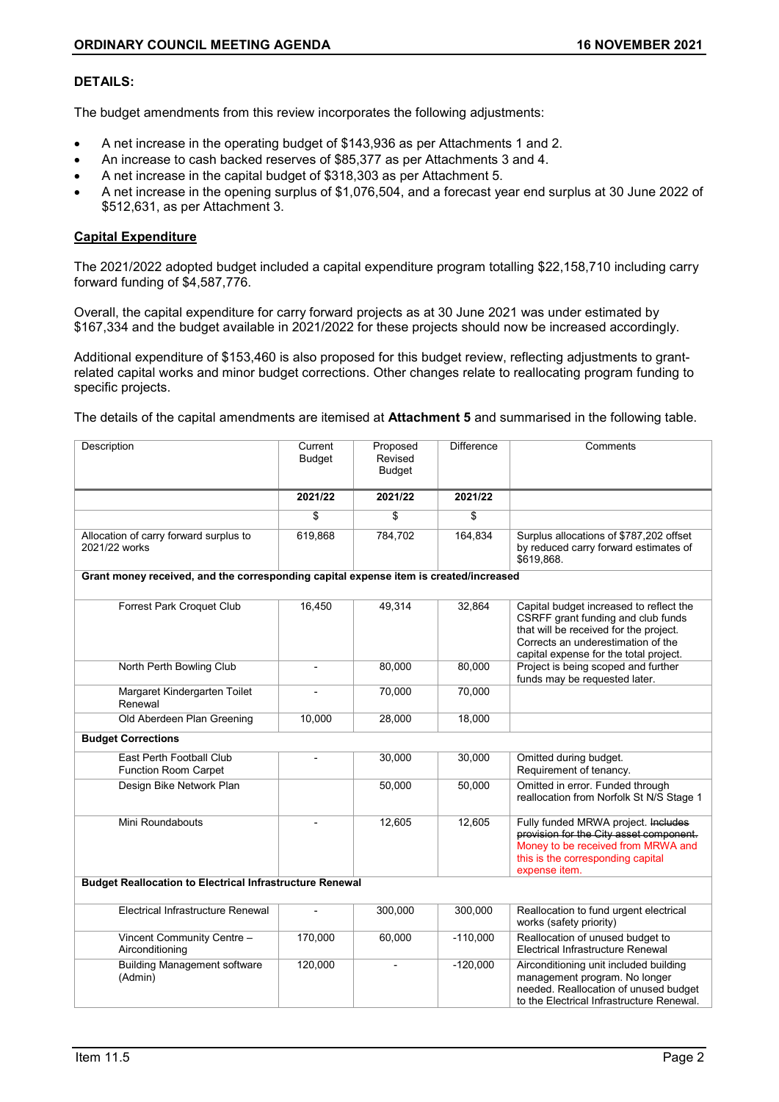#### **DETAILS:**

The budget amendments from this review incorporates the following adjustments:

- A net increase in the operating budget of \$143,936 as per Attachments 1 and 2.
- An increase to cash backed reserves of \$85,377 as per Attachments 3 and 4.
- A net increase in the capital budget of \$318,303 as per Attachment 5.
- A net increase in the opening surplus of \$1,076,504, and a forecast year end surplus at 30 June 2022 of \$512,631, as per Attachment 3.

#### **Capital Expenditure**

The 2021/2022 adopted budget included a capital expenditure program totalling \$22,158,710 including carry forward funding of \$4,587,776.

Overall, the capital expenditure for carry forward projects as at 30 June 2021 was under estimated by \$167,334 and the budget available in 2021/2022 for these projects should now be increased accordingly.

Additional expenditure of \$153,460 is also proposed for this budget review, reflecting adjustments to grantrelated capital works and minor budget corrections. Other changes relate to reallocating program funding to specific projects.

The details of the capital amendments are itemised at **Attachment 5** and summarised in the following table.

| Description                                                                           | Current<br><b>Budget</b> | Proposed<br>Revised<br><b>Budget</b> | <b>Difference</b> | Comments                                                                                                                                                                                                |
|---------------------------------------------------------------------------------------|--------------------------|--------------------------------------|-------------------|---------------------------------------------------------------------------------------------------------------------------------------------------------------------------------------------------------|
|                                                                                       | 2021/22                  | 2021/22                              | 2021/22           |                                                                                                                                                                                                         |
|                                                                                       | \$                       | \$                                   | \$                |                                                                                                                                                                                                         |
| Allocation of carry forward surplus to<br>2021/22 works                               | 619,868                  | 784,702                              | 164,834           | Surplus allocations of \$787,202 offset<br>by reduced carry forward estimates of<br>\$619,868.                                                                                                          |
| Grant money received, and the corresponding capital expense item is created/increased |                          |                                      |                   |                                                                                                                                                                                                         |
| <b>Forrest Park Croquet Club</b>                                                      | 16,450                   | 49,314                               | 32,864            | Capital budget increased to reflect the<br>CSRFF grant funding and club funds<br>that will be received for the project.<br>Corrects an underestimation of the<br>capital expense for the total project. |
| North Perth Bowling Club                                                              | $\overline{\phantom{a}}$ | 80,000                               | 80,000            | Project is being scoped and further<br>funds may be requested later.                                                                                                                                    |
| Margaret Kindergarten Toilet<br>Renewal                                               | $\overline{a}$           | 70,000                               | 70,000            |                                                                                                                                                                                                         |
| Old Aberdeen Plan Greening                                                            | 10,000                   | 28,000                               | 18,000            |                                                                                                                                                                                                         |
| <b>Budget Corrections</b>                                                             |                          |                                      |                   |                                                                                                                                                                                                         |
| East Perth Football Club<br><b>Function Room Carpet</b>                               |                          | 30,000                               | 30,000            | Omitted during budget.<br>Requirement of tenancy.                                                                                                                                                       |
| Design Bike Network Plan                                                              |                          | 50,000                               | 50,000            | Omitted in error. Funded through<br>reallocation from Norfolk St N/S Stage 1                                                                                                                            |
| Mini Roundabouts                                                                      |                          | 12,605                               | 12,605            | Fully funded MRWA project. Includes<br>provision for the City asset component.<br>Money to be received from MRWA and<br>this is the corresponding capital<br>expense item.                              |
| <b>Budget Reallocation to Electrical Infrastructure Renewal</b>                       |                          |                                      |                   |                                                                                                                                                                                                         |
| Electrical Infrastructure Renewal                                                     |                          | 300,000                              | 300,000           | Reallocation to fund urgent electrical<br>works (safety priority)                                                                                                                                       |
| Vincent Community Centre -<br>Airconditioning                                         | 170,000                  | 60,000                               | $-110,000$        | Reallocation of unused budget to<br>Electrical Infrastructure Renewal                                                                                                                                   |
| <b>Building Management software</b><br>(Admin)                                        | 120,000                  |                                      | $-120,000$        | Airconditioning unit included building<br>management program. No longer<br>needed. Reallocation of unused budget<br>to the Electrical Infrastructure Renewal.                                           |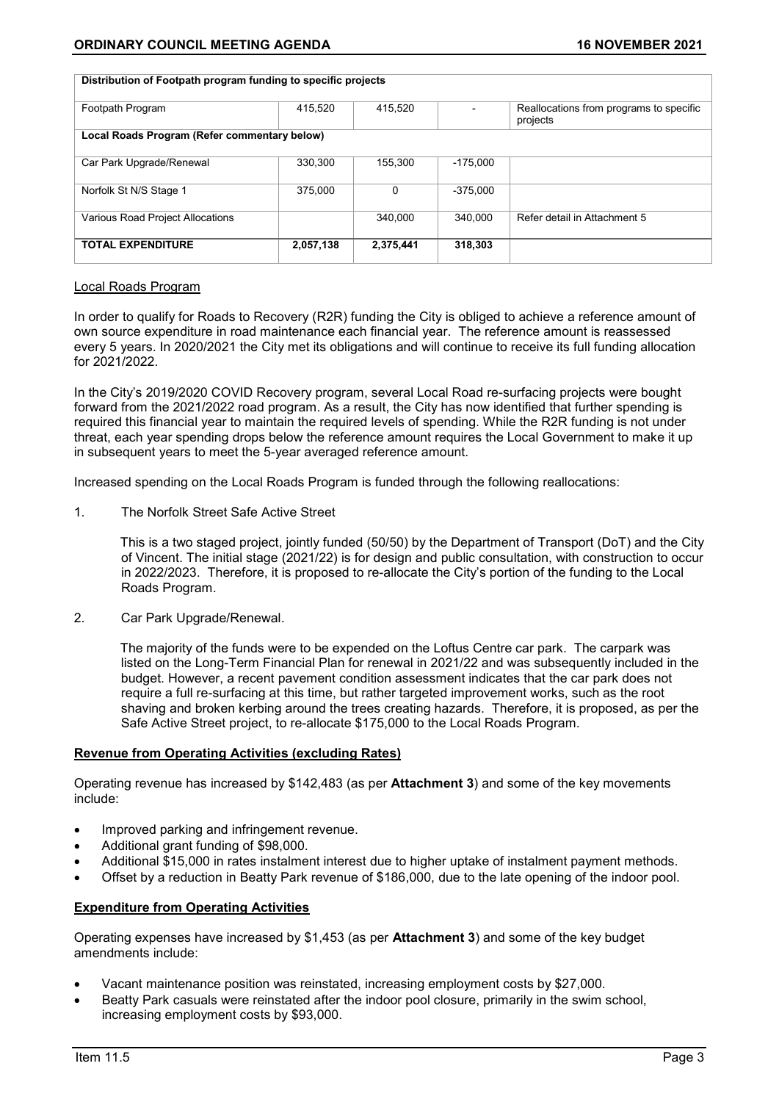| Distribution of Footpath program funding to specific projects |           |           |            |                                                     |
|---------------------------------------------------------------|-----------|-----------|------------|-----------------------------------------------------|
| Footpath Program                                              | 415.520   | 415.520   |            | Reallocations from programs to specific<br>projects |
| Local Roads Program (Refer commentary below)                  |           |           |            |                                                     |
| Car Park Upgrade/Renewal                                      | 330,300   | 155.300   | $-175.000$ |                                                     |
| Norfolk St N/S Stage 1                                        | 375.000   | $\Omega$  | $-375.000$ |                                                     |
| Various Road Project Allocations                              |           | 340.000   | 340.000    | Refer detail in Attachment 5                        |
| <b>TOTAL EXPENDITURE</b>                                      | 2,057,138 | 2,375,441 | 318,303    |                                                     |

#### Local Roads Program

In order to qualify for Roads to Recovery (R2R) funding the City is obliged to achieve a reference amount of own source expenditure in road maintenance each financial year. The reference amount is reassessed every 5 years. In 2020/2021 the City met its obligations and will continue to receive its full funding allocation for 2021/2022.

In the City's 2019/2020 COVID Recovery program, several Local Road re-surfacing projects were bought forward from the 2021/2022 road program. As a result, the City has now identified that further spending is required this financial year to maintain the required levels of spending. While the R2R funding is not under threat, each year spending drops below the reference amount requires the Local Government to make it up in subsequent years to meet the 5-year averaged reference amount.

Increased spending on the Local Roads Program is funded through the following reallocations:

1. The Norfolk Street Safe Active Street

This is a two staged project, jointly funded (50/50) by the Department of Transport (DoT) and the City of Vincent. The initial stage (2021/22) is for design and public consultation, with construction to occur in 2022/2023. Therefore, it is proposed to re-allocate the City's portion of the funding to the Local Roads Program.

2. Car Park Upgrade/Renewal.

The majority of the funds were to be expended on the Loftus Centre car park. The carpark was listed on the Long-Term Financial Plan for renewal in 2021/22 and was subsequently included in the budget. However, a recent pavement condition assessment indicates that the car park does not require a full re-surfacing at this time, but rather targeted improvement works, such as the root shaving and broken kerbing around the trees creating hazards. Therefore, it is proposed, as per the Safe Active Street project, to re-allocate \$175,000 to the Local Roads Program.

#### **Revenue from Operating Activities (excluding Rates)**

Operating revenue has increased by \$142,483 (as per **Attachment 3**) and some of the key movements include:

- Improved parking and infringement revenue.
- Additional grant funding of \$98,000.
- Additional \$15,000 in rates instalment interest due to higher uptake of instalment payment methods.
- Offset by a reduction in Beatty Park revenue of \$186,000, due to the late opening of the indoor pool.

#### **Expenditure from Operating Activities**

Operating expenses have increased by \$1,453 (as per **Attachment 3**) and some of the key budget amendments include:

- Vacant maintenance position was reinstated, increasing employment costs by \$27,000.
- Beatty Park casuals were reinstated after the indoor pool closure, primarily in the swim school, increasing employment costs by \$93,000.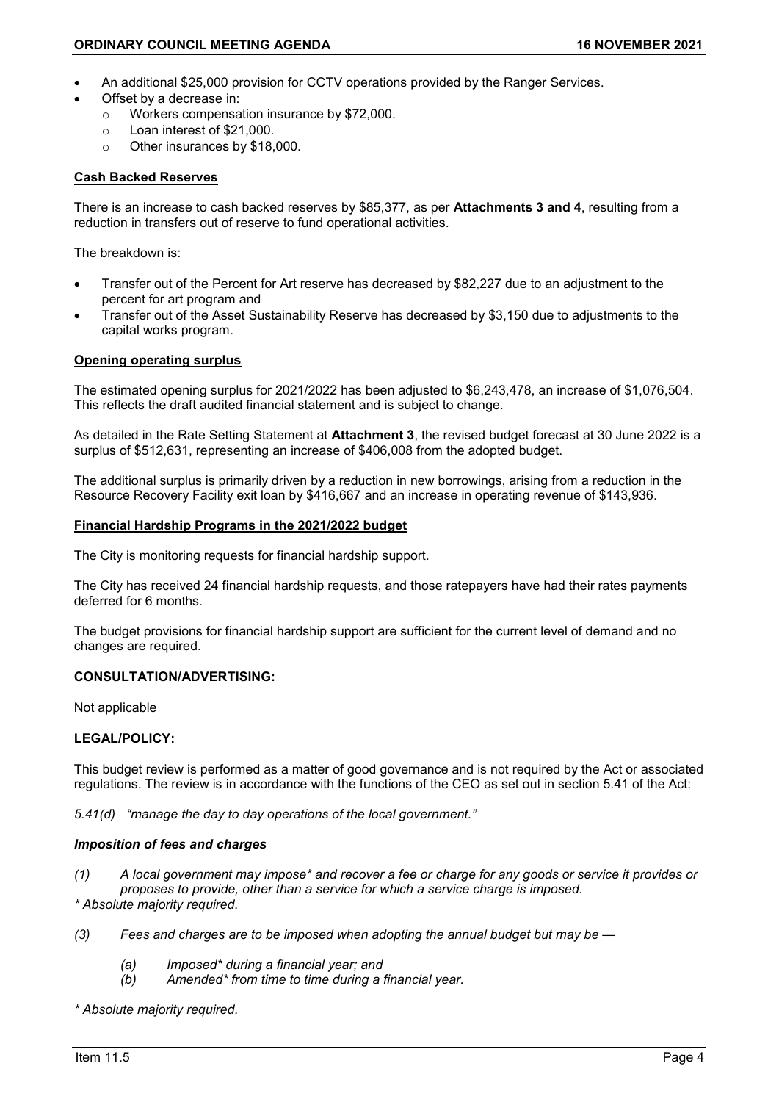- An additional \$25,000 provision for CCTV operations provided by the Ranger Services.
- Offset by a decrease in:
	- o Workers compensation insurance by \$72,000.
	- $\circ$  Loan interest of \$21,000.<br> $\circ$  Other insurances by \$18.
	- Other insurances by \$18,000.

#### **Cash Backed Reserves**

There is an increase to cash backed reserves by \$85,377, as per **Attachments 3 and 4**, resulting from a reduction in transfers out of reserve to fund operational activities.

The breakdown is:

- Transfer out of the Percent for Art reserve has decreased by \$82,227 due to an adjustment to the percent for art program and
- Transfer out of the Asset Sustainability Reserve has decreased by \$3,150 due to adjustments to the capital works program.

#### **Opening operating surplus**

The estimated opening surplus for 2021/2022 has been adjusted to \$6,243,478, an increase of \$1,076,504. This reflects the draft audited financial statement and is subject to change.

As detailed in the Rate Setting Statement at **Attachment 3**, the revised budget forecast at 30 June 2022 is a surplus of \$512,631, representing an increase of \$406,008 from the adopted budget.

The additional surplus is primarily driven by a reduction in new borrowings, arising from a reduction in the Resource Recovery Facility exit loan by \$416,667 and an increase in operating revenue of \$143,936.

#### **Financial Hardship Programs in the 2021/2022 budget**

The City is monitoring requests for financial hardship support.

The City has received 24 financial hardship requests, and those ratepayers have had their rates payments deferred for 6 months.

The budget provisions for financial hardship support are sufficient for the current level of demand and no changes are required.

#### **CONSULTATION/ADVERTISING:**

Not applicable

### **LEGAL/POLICY:**

This budget review is performed as a matter of good governance and is not required by the Act or associated regulations. The review is in accordance with the functions of the CEO as set out in section 5.41 of the Act:

*5.41(d) "manage the day to day operations of the local government."* 

#### *Imposition of fees and charges*

- *(1) A local government may impose\* and recover a fee or charge for any goods or service it provides or proposes to provide, other than a service for which a service charge is imposed. \* Absolute majority required.*
- *(3) Fees and charges are to be imposed when adopting the annual budget but may be —*
	- *(a) Imposed\* during a financial year; and*
	- *(b) Amended\* from time to time during a financial year.*

*\* Absolute majority required.*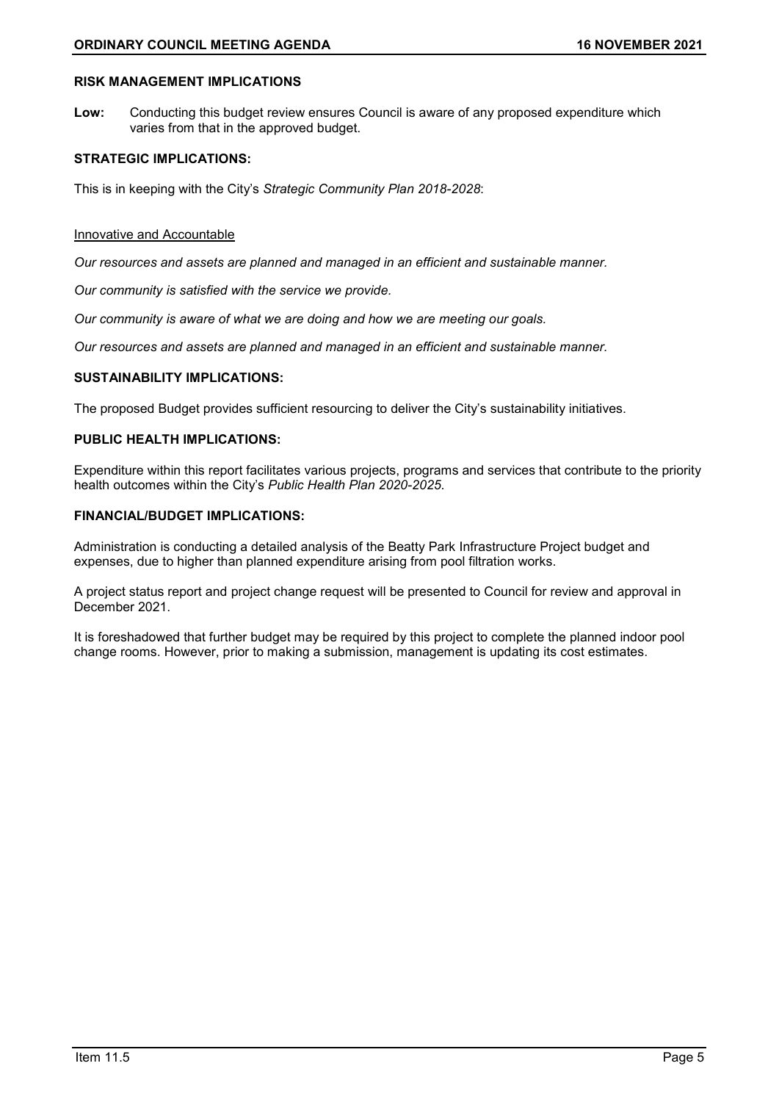#### **RISK MANAGEMENT IMPLICATIONS**

**Low:** Conducting this budget review ensures Council is aware of any proposed expenditure which varies from that in the approved budget.

#### **STRATEGIC IMPLICATIONS:**

This is in keeping with the City's *Strategic Community Plan 2018-2028*:

#### Innovative and Accountable

*Our resources and assets are planned and managed in an efficient and sustainable manner.*

*Our community is satisfied with the service we provide.*

*Our community is aware of what we are doing and how we are meeting our goals.*

*Our resources and assets are planned and managed in an efficient and sustainable manner.*

#### **SUSTAINABILITY IMPLICATIONS:**

The proposed Budget provides sufficient resourcing to deliver the City's sustainability initiatives.

### **PUBLIC HEALTH IMPLICATIONS:**

Expenditure within this report facilitates various projects, programs and services that contribute to the priority health outcomes within the City's *Public Health Plan 2020-2025*.

#### **FINANCIAL/BUDGET IMPLICATIONS:**

Administration is conducting a detailed analysis of the Beatty Park Infrastructure Project budget and expenses, due to higher than planned expenditure arising from pool filtration works.

A project status report and project change request will be presented to Council for review and approval in December 2021.

It is foreshadowed that further budget may be required by this project to complete the planned indoor pool change rooms. However, prior to making a submission, management is updating its cost estimates.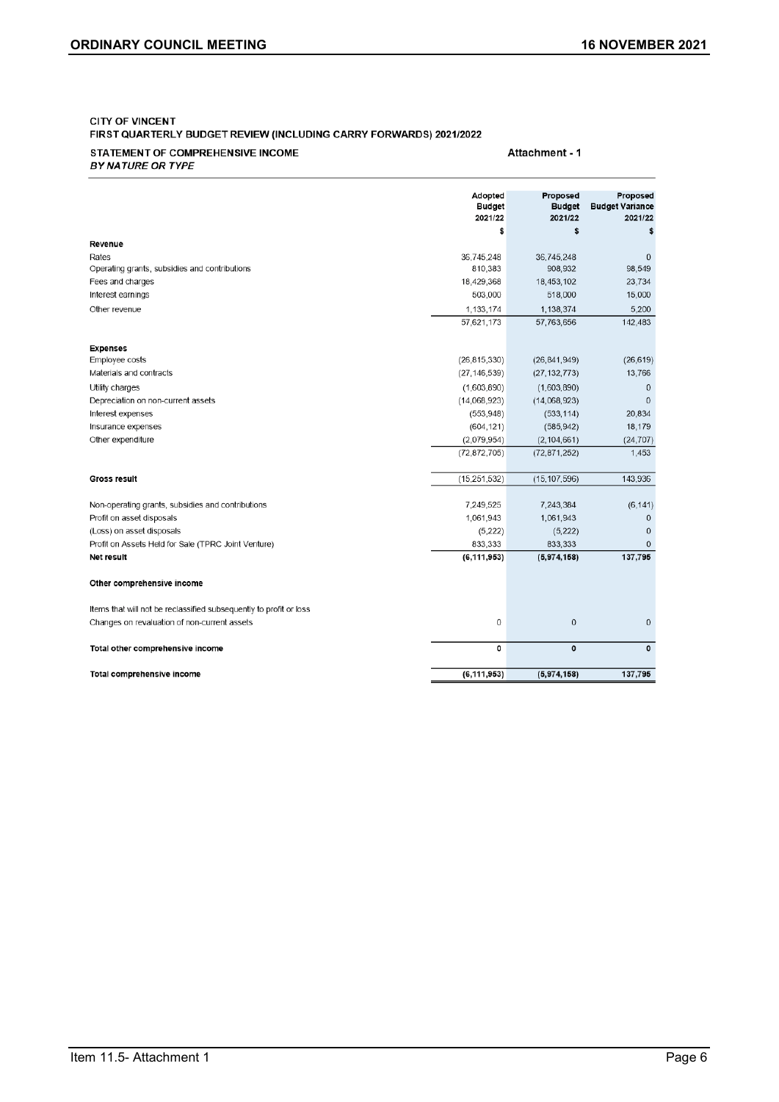#### **CITY OF VINCENT** FIRST QUARTERLY BUDGET REVIEW (INCLUDING CARRY FORWARDS) 2021/2022

#### STATEMENT OF COMPREHENSIVE INCOME **BY NATURE OR TYPE**

Attachment - 1

|                                                                    | Adopted<br><b>Budget</b><br>2021/22 | Proposed<br><b>Budget</b><br>2021/22 | Proposed<br><b>Budget Variance</b><br>2021/22 |
|--------------------------------------------------------------------|-------------------------------------|--------------------------------------|-----------------------------------------------|
| Revenue                                                            | \$                                  | \$                                   | S                                             |
| Rates                                                              | 36,745,248                          | 36,745,248                           | $\mathbf 0$                                   |
| Operating grants, subsidies and contributions                      | 810,383                             | 908.932                              | 98,549                                        |
| Fees and charges                                                   | 18,429,368                          | 18,453,102                           | 23,734                                        |
| Interest earnings                                                  | 503,000                             | 518,000                              | 15,000                                        |
| Other revenue                                                      | 1.133.174                           | 1,138,374                            | 5.200                                         |
|                                                                    | 57,621,173                          | 57,763,656                           | 142,483                                       |
| <b>Expenses</b>                                                    |                                     |                                      |                                               |
| Employee costs                                                     | (26, 815, 330)                      | (26, 841, 949)                       | (26, 619)                                     |
| Materials and contracts                                            | (27, 146, 539)                      | (27, 132, 773)                       | 13,766                                        |
| Utility charges                                                    | (1,603,890)                         | (1,603,890)                          | $\mathbf{0}$                                  |
| Depreciation on non-current assets                                 | (14,068,923)                        | (14,068,923)                         | $\mathbf{0}$                                  |
| Interest expenses                                                  | (553, 948)                          | (533, 114)                           | 20,834                                        |
| Insurance expenses                                                 | (604, 121)                          | (585, 942)                           | 18,179                                        |
| Other expenditure                                                  | (2,079,954)                         | (2, 104, 661)                        | (24, 707)                                     |
|                                                                    | (72, 872, 705)                      | (72, 871, 252)                       | 1,453                                         |
| <b>Gross result</b>                                                | (15, 251, 532)                      | (15, 107, 596)                       | 143.936                                       |
| Non-operating grants, subsidies and contributions                  | 7,249,525                           | 7,243,384                            | (6, 141)                                      |
| Profit on asset disposals                                          | 1,061,943                           | 1,061,943                            | $\mathbf{0}$                                  |
| (Loss) on asset disposals                                          | (5, 222)                            | (5, 222)                             | $\Omega$                                      |
| Profit on Assets Held for Sale (TPRC Joint Venture)                | 833,333                             | 833,333                              | 0                                             |
| Net result                                                         | (6, 111, 953)                       | (5,974,158)                          | 137,795                                       |
| Other comprehensive income                                         |                                     |                                      |                                               |
| Items that will not be reclassified subsequently to profit or loss |                                     |                                      |                                               |
| Changes on revaluation of non-current assets                       | $\boldsymbol{0}$                    | 0                                    | $\bf{0}$                                      |
| Total other comprehensive income                                   | 0                                   | 0                                    | $\mathbf{o}$                                  |
| Total comprehensive income                                         | (6, 111, 953)                       | (5,974,158)                          | 137,795                                       |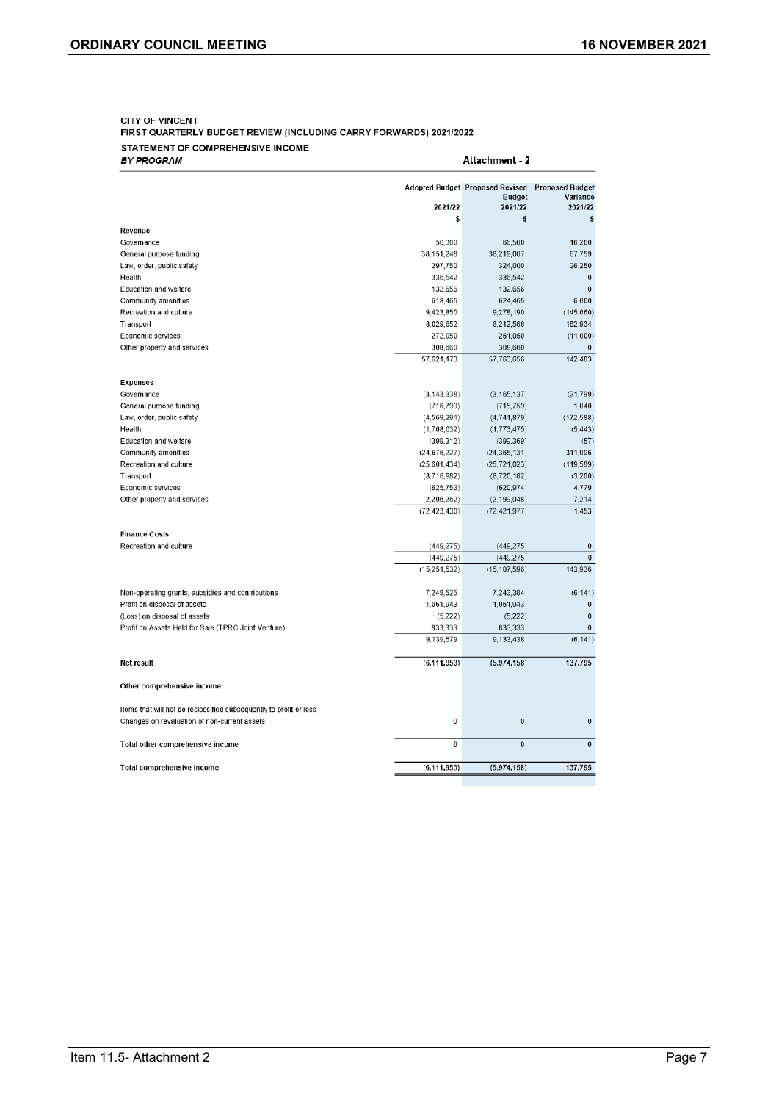#### **CITY OF VINCENT** FIRST QUARTERLY BUDGET REVIEW (INCLUDING CARRY FORWARDS) 2021/2022 STATEMENT OF COMPREHENSIVE INCOME

| BY PROGRAM                                                         | Attachment - 2 |                                                                    |                                               |  |  |
|--------------------------------------------------------------------|----------------|--------------------------------------------------------------------|-----------------------------------------------|--|--|
|                                                                    | 2021/22        | <b>Adopted Budget Proposed Revised</b><br><b>Budget</b><br>2021/22 | <b>Proposed Budget</b><br>Variance<br>2021/22 |  |  |
|                                                                    | \$             | \$                                                                 | \$                                            |  |  |
| Revenue                                                            |                |                                                                    |                                               |  |  |
| Governance                                                         | 50,300         | 66,500                                                             | 16,200                                        |  |  |
| General purpose funding                                            | 38, 151, 248   | 38,219,007                                                         | 67,759                                        |  |  |
| Law, order, public safety                                          | 297,750        | 324,000                                                            | 26,250                                        |  |  |
| Health                                                             | 336,542        | 336,542                                                            | $\bf{0}$                                      |  |  |
| Education and welfare                                              | 132,656        | 132,656                                                            | $\overline{0}$                                |  |  |
| Community amenities                                                | 618,465        | 624,465                                                            | 6,000                                         |  |  |
| Recreation and culture                                             | 9.423,850      | 9,278,190                                                          | (145, 660)                                    |  |  |
| Transport                                                          | 8,029,652      | 8,212,586                                                          | 182,934                                       |  |  |
| Economic services                                                  | 272,050        | 261,050                                                            | (11,000)                                      |  |  |
| Other property and services                                        | 308,660        | 308,660                                                            |                                               |  |  |
|                                                                    | 57.621.173     | 57,763,656                                                         | 142.483                                       |  |  |
| <b>Expenses</b>                                                    |                |                                                                    |                                               |  |  |
| Governance                                                         | (3, 143, 338)  | (3, 165, 137)                                                      | (21, 799)                                     |  |  |
| General purpose funding                                            | (716, 799)     | (715, 759)                                                         | 1,040                                         |  |  |
| Law, order, public safety                                          | (4, 569, 291)  | (4,741,879)                                                        | (172, 588)                                    |  |  |
| Health                                                             | (1,768,032)    | (1,773,475)                                                        | (5, 443)                                      |  |  |
| Education and welfare                                              | (399, 312)     | (399, 369)                                                         | (57)                                          |  |  |
| Community amenities                                                | (24, 676, 227) | (24, 365, 131)                                                     | 311,096                                       |  |  |
| Recreation and culture                                             | (25,601,434)   | (25, 721, 023)                                                     | (119, 589)                                    |  |  |
| Transport                                                          | (8,716,982)    | (8,720,182)                                                        | (3,200)                                       |  |  |
| Economic services                                                  | (625, 753)     | (620, 974)                                                         | 4,779                                         |  |  |
| Other property and services                                        | (2,206,262)    | (2, 199, 048)                                                      | 7.214                                         |  |  |
|                                                                    | (72, 423, 430) | (72, 421, 977)                                                     | 1,453                                         |  |  |
| <b>Finance Costs</b>                                               |                |                                                                    |                                               |  |  |
| Recreation and culture                                             | (449, 275)     | (449, 275)                                                         | $\mathbf{0}$                                  |  |  |
|                                                                    | (449, 275)     | (449.275)                                                          | $\mathbf{0}$                                  |  |  |
|                                                                    | (15.251.532)   | (15, 107, 596)                                                     | 143,936                                       |  |  |
| Non-operating grants, subsidies and contributions                  | 7,249,525      | 7,243,384                                                          | (6, 141)                                      |  |  |
| Profit on disposal of assets                                       | 1,061,943      | 1,061,943                                                          | $\mathbf{0}$                                  |  |  |
| (Loss) on disposal of assets                                       | (5,222)        | (5, 222)                                                           | 0                                             |  |  |
| Profit on Assets Held for Sale (TPRC Joint Venture)                | 833,333        | 833,333                                                            | $\Omega$                                      |  |  |
|                                                                    | 9,139,579      | 9,133,438                                                          | (6, 141)                                      |  |  |
| Net result                                                         | (6, 111, 953)  | (5,974,158)                                                        | 137,795                                       |  |  |
| Other comprehensive income                                         |                |                                                                    |                                               |  |  |
| Items that will not be reclassified subsequently to profit or loss |                |                                                                    |                                               |  |  |
| Changes on revaluation of non-current assets                       | 0              | $\mathbf{0}$                                                       | $\mathbf 0$                                   |  |  |
| Total other comprehensive income                                   | 0              | $\bf{0}$                                                           | $\bf{0}$                                      |  |  |
| Total comprehensive income                                         | (6.111.953)    | (5.974.158)                                                        | 137.795                                       |  |  |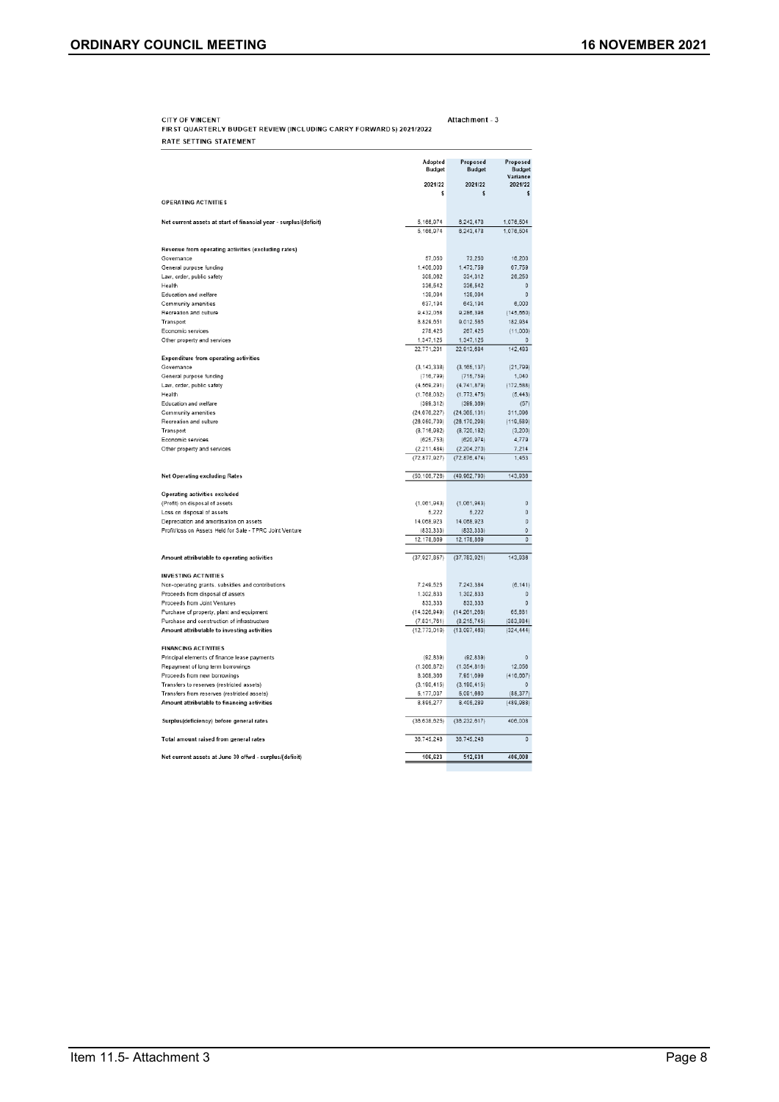CITY OF VINCENT<br>FIRST QUARTERLY BUDGET REVIEW (INCLUDING CARRY FORWARDS) 2021/2022 Attachment - 3 RATE SETTING STATEMENT

|                                                                                       | Adopted<br><b>Budget</b>        | Proposed<br><b>Budget</b>       | Proposed<br><b>Budget</b><br>Variance |
|---------------------------------------------------------------------------------------|---------------------------------|---------------------------------|---------------------------------------|
|                                                                                       | 2021/22                         | 2021/22                         | 2021/22                               |
| OPERATING ACTIVITIES                                                                  | Ś                               | \$                              | S                                     |
|                                                                                       |                                 |                                 |                                       |
| Net current assets at start of financial year - surplus/(deficit)                     | 5.166.974                       | 6.243.478                       | 1,076,504                             |
|                                                                                       | 5,166,974                       | 6,243,478                       | 1,076,504                             |
|                                                                                       |                                 |                                 |                                       |
| Revenue from operating activities (excluding rates)<br>Governance                     | 57,050                          | 73,250                          | 16,200                                |
| General purpose funding                                                               | 1,406.000                       | 1.473.759                       | 67,759                                |
| Law, order, public safety                                                             | 308.062                         | 334,312                         | 26,250                                |
| Health                                                                                | 336,542                         | 336,542                         | $\Omega$                              |
| Education and welfare                                                                 | 139,094                         | 139,094                         | 0                                     |
| Community amenities                                                                   | 637.194                         | 643.194                         | 6,000                                 |
| Recreation and culture<br>Transport                                                   | 9.432.058<br>8,829,651          | 9.286.398<br>9,012,585          | (145, 660)<br>182,934                 |
| Economic services                                                                     | 278.425                         | 267.425                         | (11,000)                              |
| Other property and services                                                           | 1,347,125                       | 1,347,125                       | $\mathbf 0$                           |
|                                                                                       | 22,771.201                      | 22.913.684                      | 142.483                               |
| <b>Expenditure from operating activities</b>                                          |                                 |                                 |                                       |
| Governance                                                                            | (3, 143, 338)                   | (3, 165, 137)                   | (21, 799)                             |
| General purpose funding                                                               | (716, 799)                      | (715, 759)                      | 1.040                                 |
| Law, order, public safety<br>Health                                                   | (4, 569, 291)<br>(1,768,032)    | (4.741.879)<br>(1, 773, 475)    | (172, 588)<br>(5, 443)                |
| Education and welfare                                                                 | (399, 312)                      | (399, 369)                      | (57)                                  |
| Community amenities                                                                   | (24, 676, 227)                  | (24, 365, 131)                  | 311,098                               |
| Recreation and culture                                                                | (26,050,709)                    | (26, 170, 298)                  | (119, 589)                            |
| Transport                                                                             | (8, 716, 982)                   | (8,720,182)                     | (3, 200)                              |
| Economic services                                                                     | (625, 753)                      | (620, 974)                      | 4,779                                 |
| Other property and services                                                           | (2, 211, 484)<br>(72, 877, 927) | (2, 204, 270)<br>(72, 876, 474) | 7,214<br>1,453                        |
|                                                                                       |                                 |                                 |                                       |
| <b>Net Operating excluding Rates</b>                                                  | (50, 108, 726)                  | (49, 962, 790)                  | 143,936                               |
|                                                                                       |                                 |                                 |                                       |
| <b>Operating activities excluded</b>                                                  |                                 |                                 |                                       |
| (Profit) on disposal of assets                                                        | (1.081.943)                     | (1,061,943)                     | o                                     |
| Loss on disposal of assets<br>Depreciation and amortisation on assets                 | 5,222<br>14,068,923             | 5.222<br>14,068,923             | 0<br>0                                |
| Profit/loss on Assets Held for Sale - TPRC Joint Venture                              | (833,333)                       | (833, 333)                      | $\Omega$                              |
|                                                                                       | 12,178,869                      | 12,178,869                      | 0                                     |
|                                                                                       |                                 |                                 |                                       |
| Amount attributable to operating activities                                           | (37, 927, 857)                  | (37, 783, 921)                  | 143.936                               |
|                                                                                       |                                 |                                 |                                       |
| <b>INVESTING ACTIVITIES</b>                                                           |                                 |                                 |                                       |
| Non-operating grants, subsidies and contributions<br>Proceeds from disposal of assets | 7,249,525<br>1.302.833          | 7,243,384<br>1.302.833          | (6, 141)<br>$\Omega$                  |
| Proceeds from Joint Ventures                                                          | 833,333                         | 833,333                         | 0                                     |
| Purchase of property, plant and equipment                                             | (14.326.949)                    | (14.261.268)                    | 65,681                                |
| Purchase and construction of infrastructure                                           | (7, 831, 761)                   | (8, 215, 745)                   | (383.984)                             |
| Amount attributable to investing activities                                           | (12, 773, 019)                  | (13,097,463)                    | (324, 444)                            |
| <b>FINANCING ACTIVITIES</b>                                                           |                                 |                                 |                                       |
| Principal elements of finance lease payments                                          | (92.839)                        | (92.839)                        | $\circ$                               |
| Repayment of long term borrowings                                                     | (1,366,872)                     | (1, 354, 816)                   | 12.056                                |
| Proceeds from new borrowings                                                          | 8,368,366                       | 7,951,699                       | (416, 667)                            |
| Transfers to reserves (restricted assets)                                             | (3, 190, 415)                   | (3, 190, 415)                   | $\Omega$                              |
| Transfers from reserves (restricted assets)                                           | 5,177,037                       | 5,091,660                       | (85, 377)                             |
| Amount attributable to financing activities                                           | 8,895,277                       | 8,405,289                       | (489, 988)                            |
| Surplus(deficiency) before general rates                                              | (36, 638, 625)                  | (36, 232, 617)                  | 406,008                               |
| Total amount raised from general rates                                                | 36,745,248                      | 36,745,248                      | $\mathbb O$                           |
| Net current assets at June 30 c/fwd - surplus/(deficit)                               | 106,623                         | 512,631                         | 800 308                               |
|                                                                                       |                                 |                                 |                                       |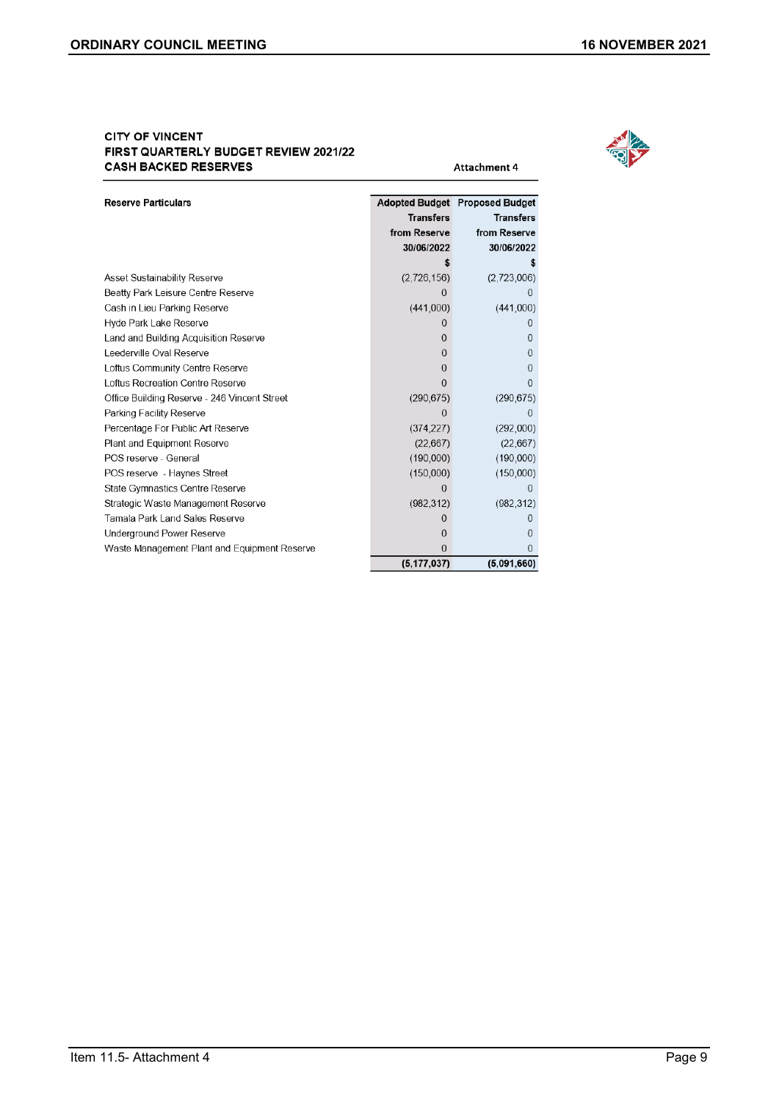#### **CITY OF VINCENT** FIRST QUARTERLY BUDGET REVIEW 2021/22 **CASH BACKED RESERVES**



Attachment 4

| <b>Reserve Particulars</b>                   |                  | Adopted Budget Proposed Budget |
|----------------------------------------------|------------------|--------------------------------|
|                                              | <b>Transfers</b> | <b>Transfers</b>               |
|                                              | from Reserve     | from Reserve                   |
|                                              | 30/06/2022       | 30/06/2022                     |
|                                              |                  |                                |
| <b>Asset Sustainability Reserve</b>          | (2.726, 156)     | (2.723,006)                    |
| Beatty Park Leisure Centre Reserve           |                  |                                |
| Cash in Lieu Parking Reserve                 | (441,000)        | (441,000)                      |
| Hyde Park Lake Reserve                       |                  |                                |
| Land and Building Acquisition Reserve        | 0                | 0                              |
| Leederville Oval Reserve                     | 0                | 0                              |
| Loftus Community Centre Reserve              | 0                | O                              |
| Loftus Recreation Centre Reserve             | O                |                                |
| Office Building Reserve - 246 Vincent Street | (290, 675)       | (290, 675)                     |
| Parking Facility Reserve                     | 0                | 0                              |
| Percentage For Public Art Reserve            | (374.227)        | (292,000)                      |
| Plant and Equipment Reserve                  | (22, 667)        | (22, 667)                      |
| POS reserve - General                        | (190,000)        | (190,000)                      |
| POS reserve - Haynes Street                  | (150,000)        | (150,000)                      |
| <b>State Gymnastics Centre Reserve</b>       |                  |                                |
| Strategic Waste Management Reserve           | (982.312)        | (982, 312)                     |
| Tamala Park Land Sales Reserve               |                  |                                |
| Underground Power Reserve                    | Ω                |                                |
| Waste Management Plant and Equipment Reserve | O                |                                |
|                                              | (5, 177, 037)    | (5,091,660)                    |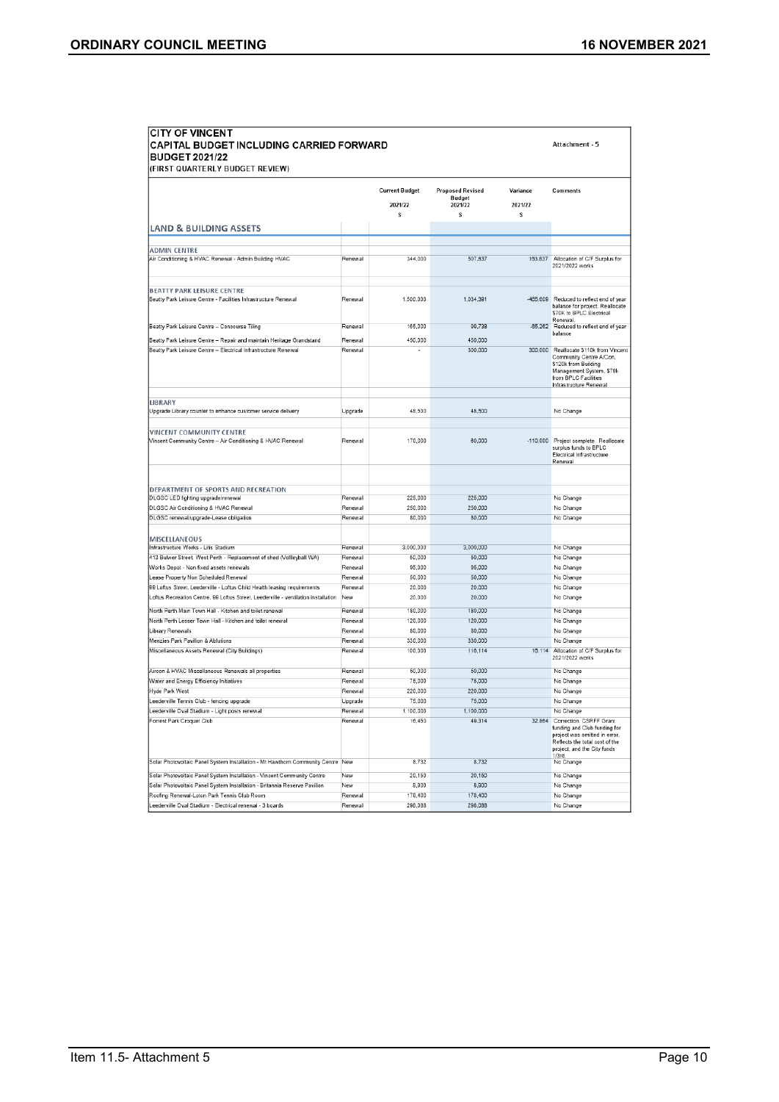| <b>CITY OF VINCENT</b><br>CAPITAL BUDGET INCLUDING CARRIED FORWARD<br><b>BUDGET 2021/22</b>                  | Attachment - 5     |                                        |                                                           |                          |                                                                                                                                                                        |
|--------------------------------------------------------------------------------------------------------------|--------------------|----------------------------------------|-----------------------------------------------------------|--------------------------|------------------------------------------------------------------------------------------------------------------------------------------------------------------------|
| (FIRST QUARTERLY BUDGET REVIEW)                                                                              |                    | <b>Current Budget</b><br>2021/22<br>\$ | <b>Proposed Revised</b><br><b>Budget</b><br>2021/22<br>\$ | Variance<br>2021/22<br>s | Comments                                                                                                                                                               |
| <b>LAND &amp; BUILDING ASSETS</b>                                                                            |                    |                                        |                                                           |                          |                                                                                                                                                                        |
|                                                                                                              |                    |                                        |                                                           |                          |                                                                                                                                                                        |
| <b>ADMIN CENTRE</b><br>Air Conditioning & HVAC Renewal - Admin Building HVAC                                 | Renewal            | 344,000                                | 507,837                                                   | 163,837                  | Allocation of C/F Surplus for<br>2021/2022 works                                                                                                                       |
| <b>BEATTY PARK LEISURE CENTRE</b><br>Beatty Park Leisure Centre - Facilities Infrastructure Renewal          | Renewal            | 1,500,000                              | 1.034.391                                                 | $-465.609$               | Reduced to reflect end of year<br>balance for project. Reallocate<br>\$70K to BPLC Electrical<br>Renewal.                                                              |
| Beatty Park Leisure Centre - Concourse Tiling                                                                | Renewal            | 165,000                                | 99.738                                                    |                          | -65,262 Reduced to reflect end of year<br>balance                                                                                                                      |
| Beatty Park Leisure Centre - Repair and maintain Heritage Grandstand                                         | Renewal            | 450.000                                | 450,000                                                   |                          |                                                                                                                                                                        |
| Beatty Park Leisure Centre - Electrical Infrastructure Renewal                                               | Renewal            |                                        | 300,000                                                   |                          | 300,000 Reallocate \$110k from Vincent<br>Community Centre A/Con,<br>\$120k from Building<br>Management System, S70k<br>from BPLC Facilities<br>Infrastructure Renewal |
| LIBRARY                                                                                                      |                    |                                        |                                                           |                          |                                                                                                                                                                        |
| Upgrade Library counter to enhance customer service delivery                                                 | Upgrade            | 48,500                                 | 48.500                                                    |                          | No Change                                                                                                                                                              |
|                                                                                                              |                    |                                        |                                                           |                          |                                                                                                                                                                        |
| VINCENT COMMUNITY CENTRE<br>Vincent Community Centre - Air Conditioning & HVAC Renewal                       | Renewal            | 170,000                                | 60,000                                                    |                          | -110,000 Project complete. Reallocate<br>surplus funds to BPLC<br>Electrical Infrastructure<br>Renewal                                                                 |
|                                                                                                              |                    |                                        |                                                           |                          |                                                                                                                                                                        |
| DEPARTMENT OF SPORTS AND RECREATION<br>DLGSC LED lighting upgrade/renewal                                    | Renewal            | 225,000                                | 225.000                                                   |                          | No Change                                                                                                                                                              |
| DLGSC Air Conditioning & HVAC Renewal                                                                        | Renewal            | 250,000                                | 250,000                                                   |                          | No Change                                                                                                                                                              |
| DLGSC renewal/upgrade-Lease obligation                                                                       | Renewal            | 80,000                                 | 80,000                                                    |                          | No Change                                                                                                                                                              |
|                                                                                                              |                    |                                        |                                                           |                          |                                                                                                                                                                        |
| MISCELLANEOUS                                                                                                |                    | 3.000.000                              | 3.000.000                                                 |                          |                                                                                                                                                                        |
| Infrastructure Works - Litis Stadium<br>413 Bulwer Street, West Perth - Replacement of shed (Vollleyball WA) | Renewal<br>Renewal | 50,000                                 | 50,000                                                    |                          | No Change<br>No Change                                                                                                                                                 |
| Works Depot - Non fixed assets renewals                                                                      | Renewal            | 95,000                                 | 95,000                                                    |                          | No Change                                                                                                                                                              |
| Lease Property Non Scheduled Renewal                                                                         | Renewal            | 50.000                                 | 50.000                                                    |                          | No Change                                                                                                                                                              |
| 99 Loftus Street, Leederville - Loftus Child Health leasing requirements                                     | Renewal            | 20,000                                 | 20,000                                                    |                          | No Change                                                                                                                                                              |
| Loftus Recreation Centre, 99 Loftus Street, Leederville - ventilation installation                           | New                | 20,000                                 | 20,000                                                    |                          | No Change                                                                                                                                                              |
| North Perth Main Town Hall - Kitchen and toilet renewal                                                      | Renewal            | 180.000                                | 180,000                                                   |                          | No Change                                                                                                                                                              |
| North Perth Lesser Town Hall - Kitchen and toilet renewal                                                    | Renewal            | 120.000                                | 120,000                                                   |                          | No Change                                                                                                                                                              |
| <b>Jbrary Renewals</b>                                                                                       | Renewal            | 80,000                                 | 80,000                                                    |                          | No Change                                                                                                                                                              |
| Menzies Park Pavilion & Ablutions                                                                            | Renewal            | 330,000                                | 330,000                                                   |                          | No Change                                                                                                                                                              |
| Miscellaneous Assets Renewal (City Buildings)                                                                | Renewal            | 100.000                                | 116.114                                                   |                          | 16.114 Allocation of C/F Surplus for<br>2021/2022 works                                                                                                                |
| Aircon & HVAC Miscellaneous Renewals all properties                                                          | Renewal            | 50,000                                 | 50,000                                                    |                          | No Change                                                                                                                                                              |
| Water and Energy Efficiency Initiatives                                                                      | Renewal            | 75,000                                 | 75,000                                                    |                          | No Change                                                                                                                                                              |
| Hyde Park West                                                                                               | Renewal            | 220,000<br>75.000                      | 220,000<br>75,000                                         |                          | No Change                                                                                                                                                              |
| eederville Tennis Club - fencing upgrade<br>eederville Oval Stadium - Light posts renewal                    | Upgrade<br>Renewal | 1,100,000                              | 1,100,000                                                 |                          | No Change<br>No Change                                                                                                                                                 |
| Forrest Park Croquet Club                                                                                    | Renewal            | 16.450                                 | 49.314                                                    | 32.864                   | Correction. CSRFF Grant<br>funding and Club funding for<br>project was omitted in error.<br>Reflects the total cost of the<br>project, and the City funds              |
| Solar Photovoltaic Panel System Installation - Mt Hawthorn Community Centre New                              |                    | 8,732                                  | 8,732                                                     |                          | 1/3rd.<br>No Change                                                                                                                                                    |
| Solar Photovoltaic Panel System Installation - Vincent Community Centre                                      | New                | 20,150                                 | 20,150                                                    |                          | No Change                                                                                                                                                              |
| Solar Photovoltaic Panel System Installation - Britannia Reserve Pavilion                                    | New                | 8.900                                  | 8.900                                                     |                          | No Change                                                                                                                                                              |
| Roofing Renewal-Loton Park Tennis Club Room                                                                  | Renewal            | 178,400                                | 178,400                                                   |                          | No Change                                                                                                                                                              |
| Leederville Oval Stadium - Electrical renewal - 3 boards                                                     | Renewal            | 298,088                                | 298,088                                                   |                          | No Change                                                                                                                                                              |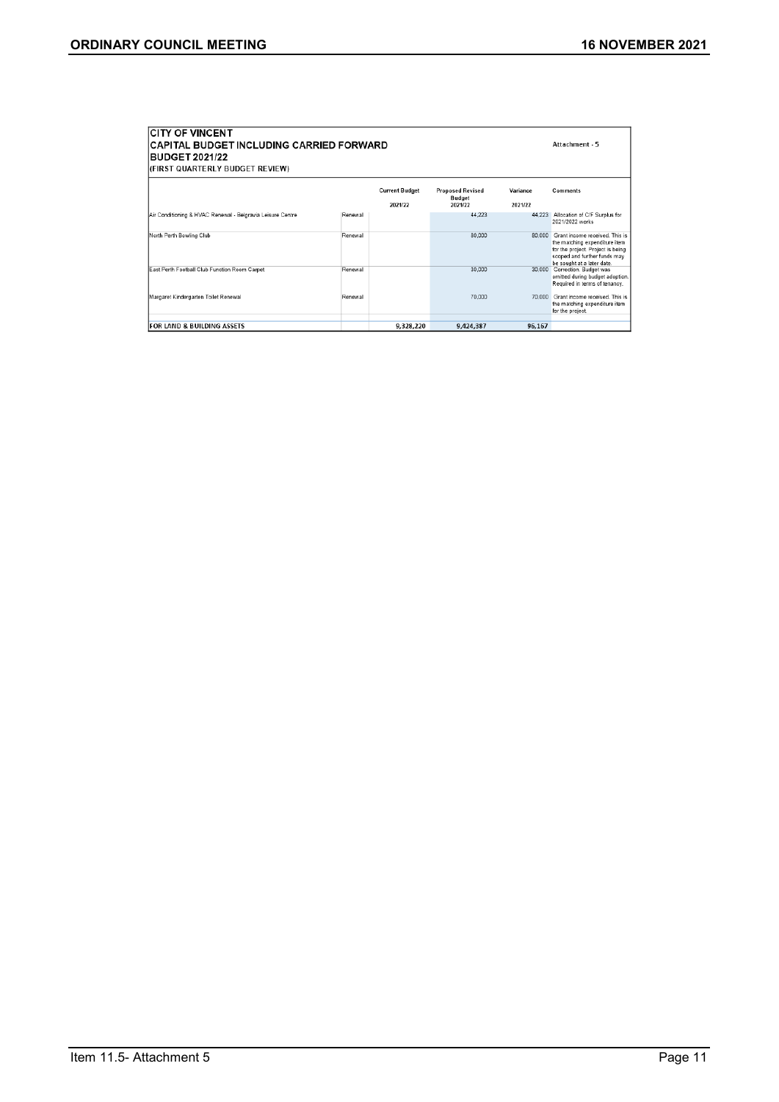| <b>ICITY OF VINCENT</b><br><b>CAPITAL BUDGET INCLUDING CARRIED FORWARD</b><br><b>BUDGET 2021/22</b><br>(FIRST QUARTERLY BUDGET REVIEW) | Attachment - 5 |                                  |                                                     |                     |                                                                                                                                                                    |
|----------------------------------------------------------------------------------------------------------------------------------------|----------------|----------------------------------|-----------------------------------------------------|---------------------|--------------------------------------------------------------------------------------------------------------------------------------------------------------------|
|                                                                                                                                        |                | <b>Current Budget</b><br>2021/22 | <b>Proposed Revised</b><br><b>Budget</b><br>2021/22 | Variance<br>2021/22 | <b>Comments</b>                                                                                                                                                    |
| Air Conditioning & HVAC Renewal - Belgravia Leisure Centre                                                                             | Renewal        |                                  | 44.223                                              |                     | 44.223 Allocation of C/F Surplus for<br>2021/2022 works                                                                                                            |
| North Perth Bowling Club                                                                                                               | Renewal        |                                  | 80,000                                              | 80.000              | Grant income received. This is<br>the matching expenditure item<br>for the project. Project is being<br>scoped and further funds may<br>be sought at a later date. |
| East Perth Football Club Function Room Carpet                                                                                          | Renewal        |                                  | 30.000                                              |                     | 30,000 Correction. Budget was<br>omitted during budget adoption.<br>Required in terms of tenancy.                                                                  |
| Margaret Kindergarten Toilet Renewal                                                                                                   | Renewal        |                                  | 70.000                                              |                     | 70,000 Grant income received. This is<br>the matching expenditure item<br>for the project.                                                                         |
| <b>IFOR LAND &amp; BUILDING ASSETS</b>                                                                                                 |                | 9,328,220                        | 9,424,387                                           | 96,167              |                                                                                                                                                                    |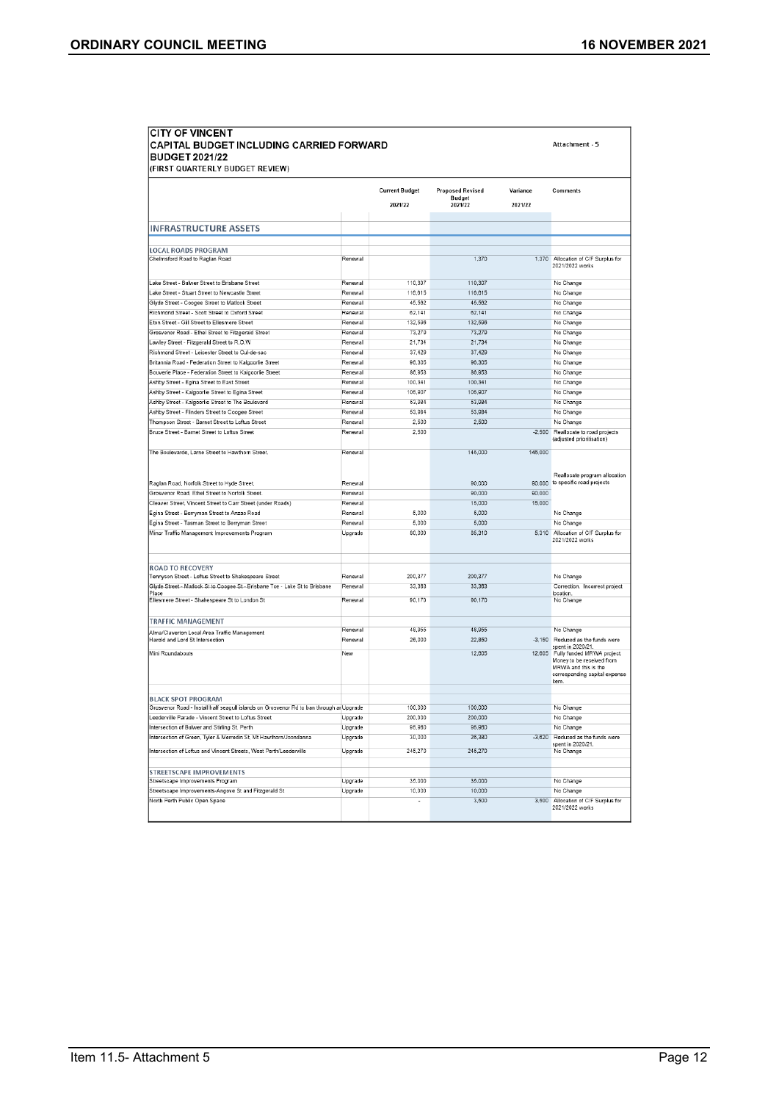| <b>CITY OF VINCENT</b><br>CAPITAL BUDGET INCLUDING CARRIED FORWARD<br><b>BUDGET 2021/22</b><br>(FIRST QUARTERLY BUDGET REVIEW) |                    |                                  |                                              |                     | Attachment - 5                                                                                                                  |
|--------------------------------------------------------------------------------------------------------------------------------|--------------------|----------------------------------|----------------------------------------------|---------------------|---------------------------------------------------------------------------------------------------------------------------------|
|                                                                                                                                |                    | <b>Current Budget</b><br>2021/22 | <b>Proposed Revised</b><br>Budget<br>2021/22 | Variance<br>2021/22 | Comments                                                                                                                        |
|                                                                                                                                |                    |                                  |                                              |                     |                                                                                                                                 |
| <b>INFRASTRUCTURE ASSETS</b>                                                                                                   |                    |                                  |                                              |                     |                                                                                                                                 |
|                                                                                                                                |                    |                                  |                                              |                     |                                                                                                                                 |
| <b>LOCAL ROADS PROGRAM</b><br>Chelmsford Road to Raglan Road                                                                   | Renewal            |                                  | 1,370                                        |                     | 1,370 Allocation of C/F Surplus for<br>2021/2022 works                                                                          |
| Lake Street - Bulwer Street to Brisbane Street                                                                                 | Renewal            | 110,307                          | 110,307                                      |                     | No Change                                                                                                                       |
| ake Street - Stuart Street to Newcastle Street                                                                                 | Renewal            | 116,615                          | 116,615                                      |                     | No Change                                                                                                                       |
| Glyde Street - Coogee Street to Matlock Street                                                                                 | Renewal            | 45,562                           | 45,562                                       |                     | No Change                                                                                                                       |
| Richmond Street - Scott Street to Oxford Street                                                                                | Renewal            | 62,141                           | 62,141                                       |                     | No Change                                                                                                                       |
| Eton Street - Gill Street to Ellesmere Street                                                                                  | Renewal            | 132,596                          | 132,596                                      |                     | No Change                                                                                                                       |
| Grosvenor Road - Ethel Street to Fitzgerald Street                                                                             | Renewal            | 73,279                           | 73,279                                       |                     | No Change                                                                                                                       |
| Lawley Street - Fitzgerald Street to R.O.W                                                                                     | Renewal            | 21,734                           | 21,734                                       |                     | No Change                                                                                                                       |
| Richmond Street - Leicester Street to Cul-de-sac                                                                               | Renewal            | 37,429                           | 37,429                                       |                     | No Change                                                                                                                       |
| Britannia Road - Federation Street to Kalgoorlie Street                                                                        | Renewal            | 96.305                           | 96,305                                       |                     | No Change                                                                                                                       |
| Bouverie Place - Federation Street to Kalgoorlie Street                                                                        | Renewal            | 86.953                           | 86.953                                       |                     | No Change                                                                                                                       |
| Ashby Street - Egina Street to East Street                                                                                     | Renewal            | 100,341                          | 100,341                                      |                     | No Change                                                                                                                       |
| Ashby Street - Kalgoorlie Street to Egina Street                                                                               | Renewal            | 105,907                          | 105,907                                      |                     | No Change                                                                                                                       |
| Ashby Street - Kalgoorlie Street to The Boulevard                                                                              | Renewal            | 53.984                           | 53,984                                       |                     | No Change                                                                                                                       |
| Ashby Street - Flinders Street to Coogee Street                                                                                | Renewal            | 53,984                           | 53,984                                       |                     | No Change                                                                                                                       |
| Thompson Street - Barnet Street to Loftus Street                                                                               | Renewal            | 2,500                            | 2,500                                        |                     | No Change                                                                                                                       |
| Bruce Street - Barnet Street to Loftus Street                                                                                  | Renewal            | 2,500                            |                                              | $-2,500$            | Reallocate to road projects<br>(adjusted prioritisation)                                                                        |
| The Boulevarde, Larne Street to Hawthorn Street.                                                                               | Renewal            |                                  | 145,000                                      | 145,000             | Reallocate program allocation                                                                                                   |
| Raglan Road, Norfolk Street to Hyde Street.                                                                                    | Renewal            |                                  | 90,000                                       | 90,000              | to specific road projects                                                                                                       |
| Grosvenor Road, Ethel Street to Norfolk Street.                                                                                | Renewal            |                                  | 90,000                                       | 90,000              |                                                                                                                                 |
| Cleaver Street, Vincent Street to Carr Street (under Roads)                                                                    | Renewal            |                                  | 15,000                                       | 15,000              |                                                                                                                                 |
| Egina Street - Berryman Street to Anzac Road                                                                                   | Renewal            | 5.000                            | 5,000                                        |                     | No Change                                                                                                                       |
| Egina Street - Tasman Street to Berryman Street                                                                                | Renewal            | 5,000                            | 5,000                                        |                     | No Change                                                                                                                       |
| Minor Traffic Management Improvements Program                                                                                  | Upgrade            | 80,000                           | 85,310                                       |                     | 5,310 Allocation of C/F Surplus for<br>2021/2022 works                                                                          |
| <b>ROAD TO RECOVERY</b>                                                                                                        |                    |                                  |                                              |                     |                                                                                                                                 |
| Tennyson Street - Loftus Street to Shakespeare Street                                                                          | Renewal<br>Renewal | 200.377                          | 200,377                                      |                     | No Change                                                                                                                       |
| Glyde Street - Matlock St to Coogee St - Brisbane Toe - Lake St to Brisbane<br>Place                                           |                    | 33,363                           | 33,363                                       |                     | Correction. Incorrect project<br>location.                                                                                      |
| Ellesmere Street - Shakespeare St to London St                                                                                 | Renewal            | 90.170                           | 90,170                                       |                     | No Change                                                                                                                       |
| <b>TRAFFIC MANAGEMENT</b>                                                                                                      |                    |                                  |                                              |                     |                                                                                                                                 |
| Alma/Claverton Local Area Traffic Management                                                                                   | Renewal            | 48,955                           | 48,955                                       |                     | No Change                                                                                                                       |
| Harold and Lord St Intersection                                                                                                | Renewal            | 26,000                           | 22,850                                       |                     | -3,150 Reduced as the funds were<br>spent in 2020/21.                                                                           |
| Mini Roundabouts                                                                                                               | New                |                                  | 12,605                                       |                     | 12,605 Fully funded MRWA project.<br>Money to be received from<br>MRWA and this is the<br>corresponding capital expense<br>item |
| <b>BLACK SPOT PROGRAM</b>                                                                                                      |                    |                                  |                                              |                     |                                                                                                                                 |
| Grosvenor Road - Install half seagull islands on Grosvenor Rd to ban through an Upgrade                                        |                    | 100,000                          | 100,000                                      |                     | No Change                                                                                                                       |
| eederville Parade - Vincent Street to Loftus Street.                                                                           | Upgrade            | 200,000                          | 200,000                                      |                     | No Change                                                                                                                       |
| Intersection of Bulwer and Stirling St, Perth                                                                                  | Upgrade            | 95,960                           | 95,960                                       |                     | No Change                                                                                                                       |
| Intersection of Green, Tyler & Merredin St, Mt Hawthorn/Joondanna                                                              | Upgrade            | 30,000                           | 26,380                                       |                     | -3,620 Reduced as the funds were<br>spent in 2020/21.                                                                           |
| Intersection of Loftus and Vincent Streets, West Perth/Leederville                                                             | Upgrade            | 245,270                          | 245,270                                      |                     | No Change                                                                                                                       |
| STREETSCAPE IMPROVEMENTS                                                                                                       |                    |                                  |                                              |                     |                                                                                                                                 |
| Streetscape Improvements Program                                                                                               | Upgrade            | 35,000                           | 35,000                                       |                     | No Change                                                                                                                       |
| Streetscape Improvements-Angove St and Fitzgerald St                                                                           | Upgrade            | 10,000                           | 10,000                                       |                     | No Change                                                                                                                       |
| North Perth Public Open Space                                                                                                  |                    | ٠                                | 3,500                                        | 3,500               | Allocation of C/F Surplus for<br>2021/2022 works                                                                                |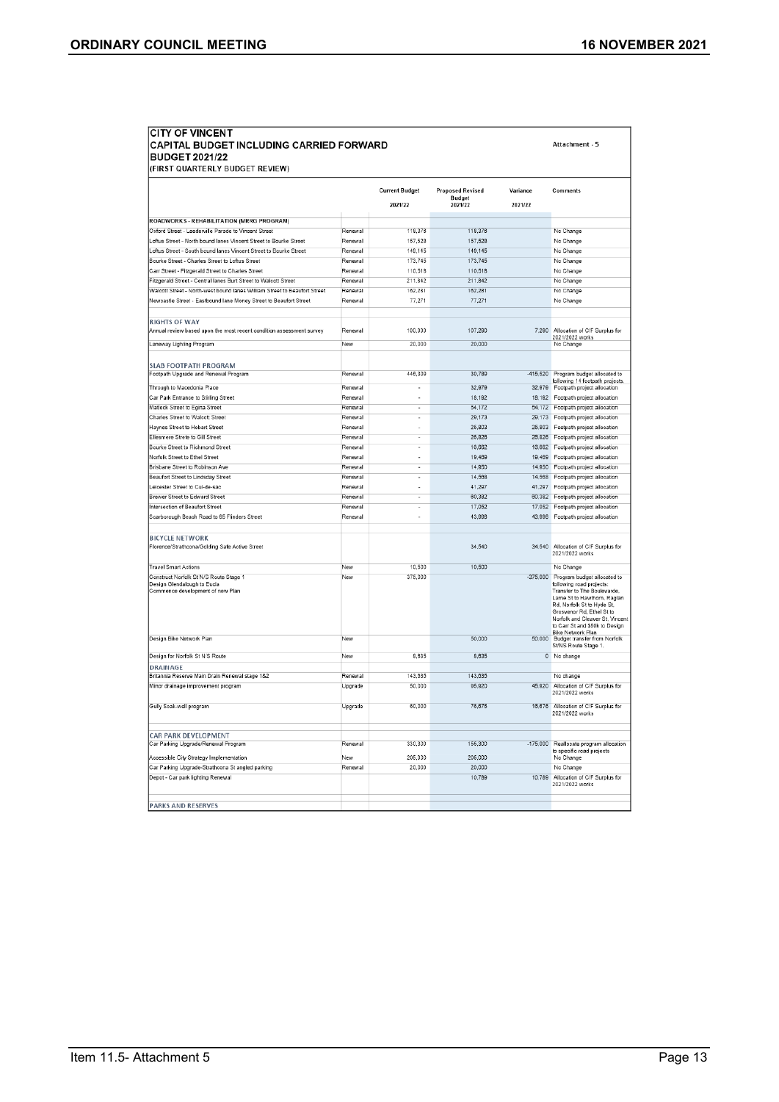Attachment - 5

# CITY OF VINCENT<br>CAPITAL BUDGET INCLUDING CARRIED FORWARD<br>BUDGET 2021/22

|                                                                                              |         | <b>Current Budget</b><br>2021/22 | <b>Proposed Revised</b><br><b>Budget</b><br>2021/22 | Variance<br>2021/22 | Comments                                                                                                                                                                                                                                     |
|----------------------------------------------------------------------------------------------|---------|----------------------------------|-----------------------------------------------------|---------------------|----------------------------------------------------------------------------------------------------------------------------------------------------------------------------------------------------------------------------------------------|
|                                                                                              |         |                                  |                                                     |                     |                                                                                                                                                                                                                                              |
| ROADWORKS - REHABILITATION (MRRG PROGRAM)                                                    |         |                                  |                                                     |                     |                                                                                                                                                                                                                                              |
| Oxford Street - Leederville Parade to Vincent Street                                         | Renewa  | 118,376                          | 118,376                                             |                     | No Change                                                                                                                                                                                                                                    |
| Loftus Street - North bound lanes Vincent Street to Bourke Street                            | Renewal | 157.528                          | 157,528                                             |                     | No Change                                                                                                                                                                                                                                    |
| Loftus Street - South bound lanes Vincent Street to Bourke Street                            | Renewal | 149.145                          | 149,145                                             |                     | No Change                                                                                                                                                                                                                                    |
| Bourke Street - Charles Street to Loftus Street                                              | Renewal | 173,745                          | 173,745                                             |                     | No Change                                                                                                                                                                                                                                    |
| Carr Street - Fitzgerald Street to Charles Street                                            | Renewal | 110.518                          | 110.518                                             |                     | No Change                                                                                                                                                                                                                                    |
| Fitzgerald Street - Central lanes Burt Street to Walcott Street                              | Renewal | 211,842                          | 211,842                                             |                     | No Change                                                                                                                                                                                                                                    |
| Walcott Street - North-west bound lanes William Street to Beaufort Street                    | Renewal | 162,281                          | 162,281                                             |                     | No Change                                                                                                                                                                                                                                    |
| Newcastle Street - Eastbound lane Money Street to Beaufort Street                            | Renewal | 77.271                           | 77.271                                              |                     | No Change                                                                                                                                                                                                                                    |
|                                                                                              |         |                                  |                                                     |                     |                                                                                                                                                                                                                                              |
| <b>RIGHTS OF WAY</b><br>Annual review based upon the most recent condition assessment survey | Renewal | 100,000                          | 107.290                                             | 7.290               | Allocation of C/F Surplus for                                                                                                                                                                                                                |
| Laneway Lighting Program                                                                     | New     | 20.000                           | 20,000                                              |                     | 2021/2022 works<br>No Change                                                                                                                                                                                                                 |
|                                                                                              |         |                                  |                                                     |                     |                                                                                                                                                                                                                                              |
|                                                                                              |         |                                  |                                                     |                     |                                                                                                                                                                                                                                              |
| <b>SLAB FOOTPATH PROGRAM</b>                                                                 |         |                                  |                                                     |                     |                                                                                                                                                                                                                                              |
| Footpath Upgrade and Renewal Program                                                         | Renewal | 446,309                          | 30,789                                              |                     | -415,520 Program budget allocated to<br>following 14 footpath projects.                                                                                                                                                                      |
| Through to Macedonia Place                                                                   | Renewal |                                  | 32,979                                              | 32,979              | Footpath project allocation                                                                                                                                                                                                                  |
| Car Park Entrance to Stirling Street                                                         | Renewal |                                  | 18,192                                              | 18,192              | Footpath project allocation                                                                                                                                                                                                                  |
| Matlock Street to Egina Street                                                               | Renewal | ٠                                | 54.172                                              |                     | 54,172 Footpath project allocation                                                                                                                                                                                                           |
| Charles Street to Walcott Street                                                             | Renewal |                                  | 29,173                                              | 29,173              | Footpath project allocation                                                                                                                                                                                                                  |
| Haynes Street to Hobart Street                                                               | Renewal |                                  | 25,803                                              | 25.803              | Footpath project allocation                                                                                                                                                                                                                  |
| Ellesmere Strete to Gill Street                                                              | Renewal | ٠                                | 26,826                                              | 26.826              | Footpath project allocation                                                                                                                                                                                                                  |
| Bourke Street to Richmond Street                                                             | Renewal |                                  | 16,662                                              | 16.662              | Footpath project allocation                                                                                                                                                                                                                  |
| Norfolk Street to Ethel Street                                                               | Renewal |                                  | 19,469                                              | 19,469              | Footpath project allocation                                                                                                                                                                                                                  |
| Brisbane Street to Robinson Ave                                                              | Renewal | ٠                                | 14,950                                              | 14.950              | Footpath project allocation                                                                                                                                                                                                                  |
| Beaufort Street to Lindsday Street                                                           | Renewal |                                  | 14,568                                              | 14.568              | Footpath project allocation                                                                                                                                                                                                                  |
| Leicester Street to Cul-de-sac                                                               | Renewal |                                  | 41,297                                              | 41.297              | Footpath project allocation                                                                                                                                                                                                                  |
| Brewer Street to Edward Street                                                               | Renewal | ٠                                | 60,382                                              | 60,382              | Footpath project allocation                                                                                                                                                                                                                  |
| Intersection of Beaufort Street                                                              | Renewal |                                  | 17,052                                              | 17.052              | Footpath project allocation                                                                                                                                                                                                                  |
| Scarborough Beach Road to 65 Flinders Street                                                 | Renewal |                                  | 43.996                                              | 43.996              | Footpath project allocation                                                                                                                                                                                                                  |
|                                                                                              |         |                                  |                                                     |                     |                                                                                                                                                                                                                                              |
| <b>BICYCLE NETWORK</b>                                                                       |         |                                  |                                                     |                     |                                                                                                                                                                                                                                              |
| Florence/Strathcona/Golding Safe Active Street                                               |         |                                  | 34.540                                              |                     | 34,540 Allocation of C/F Surplus for<br>2021/2022 works                                                                                                                                                                                      |
| <b>Travel Smart Actions</b>                                                                  | New     | 10,500                           | 10,500                                              |                     | No Change                                                                                                                                                                                                                                    |
| Construct Norfolk St N/S Route Stage 1                                                       | New     | 375,000                          |                                                     |                     | -375,000 Program budget allocated to                                                                                                                                                                                                         |
| Design Glendalough to Eucla<br>Commence development of new Plan                              |         |                                  |                                                     |                     | following road projects:<br>Transfer to The Boulevarde,<br>Larne St to Hawthorn, Raglan<br>Rd, Norfolk St to Hyde St,<br>Grosvenor Rd, Ethel St to<br>Norfolk and Cleaver St, Vincent<br>to Carr St and \$50k to Design<br>Bike Network Plan |
| Design Bike Network Plan                                                                     | New     |                                  | 50,000                                              |                     | 50,000 Budget transfer from Norfolk<br>St/NS Route Stage 1.                                                                                                                                                                                  |
| Design for Norfolk St N/S Route                                                              | New     | 8.635                            | 8,635                                               |                     | 0 No change                                                                                                                                                                                                                                  |
| <b>DRAINAGE</b>                                                                              | Renewal | 143,635                          | 143,635                                             |                     |                                                                                                                                                                                                                                              |
| Britannia Reserve Main Drain Renewal stage 182                                               |         |                                  |                                                     |                     | No change                                                                                                                                                                                                                                    |
| Minor drainage improvement program                                                           | Upgrade | 50,000                           | 95,920                                              |                     | 45,920 Allocation of C/F Surplus for<br>2021/2022 works                                                                                                                                                                                      |
| Gully Soak-well program                                                                      | Uporade | 60,000                           | 76,675                                              |                     | 16,675 Allocation of C/F Surplus for<br>2021/2022 works                                                                                                                                                                                      |
| <b>CAR PARK DEVELOPMENT</b>                                                                  |         |                                  |                                                     |                     |                                                                                                                                                                                                                                              |
| Car Parking Upgrade/Renewal Program                                                          | Renewal | 330,300                          | 155,300                                             |                     | -175,000 Reallocate program allocation                                                                                                                                                                                                       |
| Accessible City Strategy Implementation                                                      | New     | 205,000                          | 205.000                                             |                     | to specific road projects<br>No Change                                                                                                                                                                                                       |
| Car Parking Upgrade-Strathoona St angled parking                                             | Renewal | 20.000                           | 20.000                                              |                     | No Change                                                                                                                                                                                                                                    |
| Depot - Car park lighting Renewal                                                            |         |                                  | 10,789                                              |                     | 10,789 Allocation of C/F Surplus for<br>2021/2022 works                                                                                                                                                                                      |
|                                                                                              |         |                                  |                                                     |                     |                                                                                                                                                                                                                                              |
| <b>PARKS AND RESERVES</b>                                                                    |         |                                  |                                                     |                     |                                                                                                                                                                                                                                              |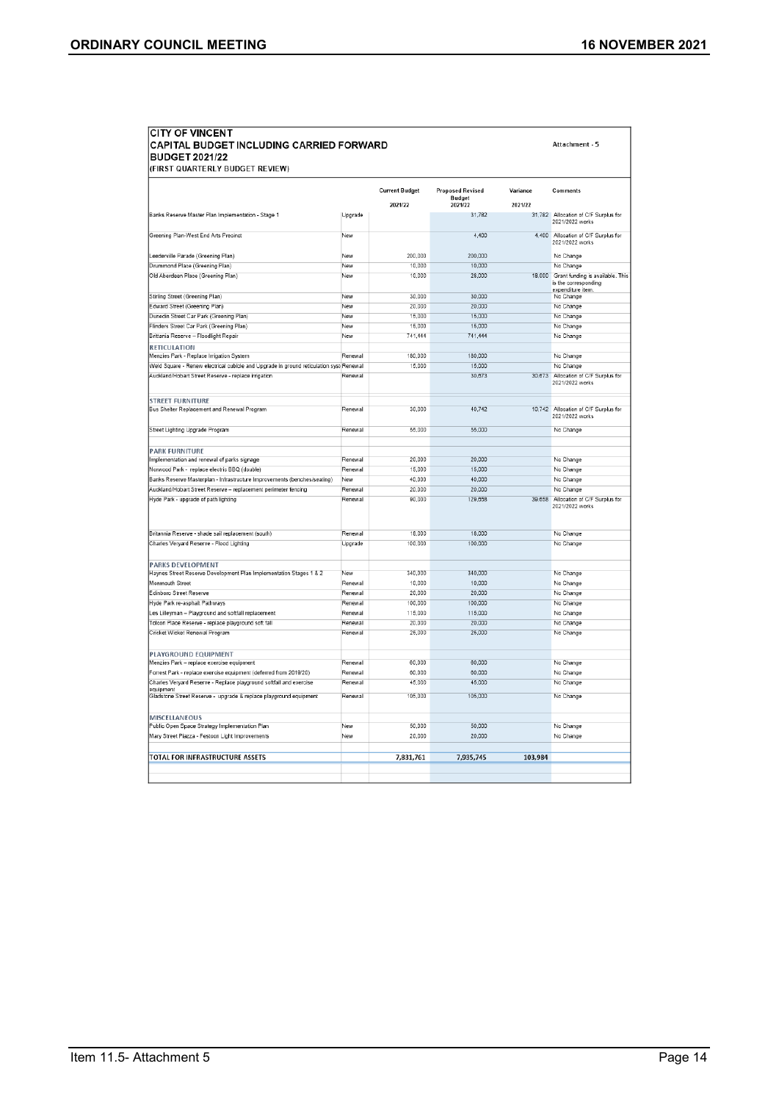Attachment - 5

## **CITY OF VINCENT** CAPITAL BUDGET INCLUDING CARRIED FORWARD<br>BUDGET 2021/22<br>(FIRST QUARTERLY BUDGET REVIEW)

|                                                                                        |         | <b>Current Budget</b> | <b>Proposed Revised</b>  | Variance | Comments                                                                             |
|----------------------------------------------------------------------------------------|---------|-----------------------|--------------------------|----------|--------------------------------------------------------------------------------------|
|                                                                                        |         | 2021/22               | <b>Budget</b><br>2021/22 | 2021/22  |                                                                                      |
| Banks Reserve Master Plan Implementation - Stage 1                                     | Upgrade |                       | 31,782                   |          | 31,782 Allocation of C/F Surplus for<br>2021/2022 works                              |
| Greening Plan-West End Arts Precinct                                                   | New     |                       | 4,400                    |          | 4,400 Allocation of C/F Surplus for<br>2021/2022 works                               |
| Leederville Parade (Greening Plan)                                                     | New     | 200,000               | 200,000                  |          | No Change                                                                            |
| Drummond Place (Greening Plan)                                                         | New     | 10.000                | 10,000                   |          | No Change                                                                            |
| Old Aberdeen Place (Greening Plan)                                                     | New     | 10,000                | 28,000                   |          | 18,000 Grant funding is available. This<br>is the corresponding<br>expenditure item. |
| Stirling Street (Greening Plan)                                                        | New     | 30.000                | 30.000                   |          | No Change                                                                            |
| Edward Street (Greening Plan)                                                          | New     | 20,000                | 20,000                   |          | No Change                                                                            |
| Dunedin Street Car Park (Greening Plan)                                                | New     | 15,000                | 15,000                   |          | No Change                                                                            |
| Flinders Street Car Park (Greening Plan)                                               | New     | 15,000                | 15,000                   |          | No Change                                                                            |
| Brittania Reserve - Floodlight Repair                                                  | New     | 741.444               | 741,444                  |          | No Change                                                                            |
| <b>RETICULATION</b>                                                                    |         |                       |                          |          |                                                                                      |
| Menzies Park - Replace Irrigation System                                               | Renewal | 180,000               | 180,000                  |          | No Change                                                                            |
| Weld Square - Renew electrical cubicle and Upgrade in ground reticulation syst Renewal |         | 15,000                | 15,000                   |          | No Change                                                                            |
| Auckland/Hobart Street Reserve - replace irrigation                                    | Renewal |                       | 30,673                   | 30,673   | Allocation of C/F Surplus for<br>2021/2022 works                                     |
| <b>STREET FURNITURE</b>                                                                |         |                       |                          |          |                                                                                      |
| Bus Shelter Replacement and Renewal Program                                            | Renewal | 30.000                | 40.742                   |          | 10,742 Allocation of C/F Surplus for<br>2021/2022 works                              |
| Street Lighting Upgrade Program                                                        | Renewal | 55.000                | 55,000                   |          | No Change                                                                            |
|                                                                                        |         |                       |                          |          |                                                                                      |
| <b>PARK FURNITURE</b>                                                                  |         |                       |                          |          |                                                                                      |
| Implementation and renewal of parks signage                                            | Renewal | 20,000                | 20,000                   |          | No Change                                                                            |
| Norwood Park - replace electric BBQ (double)                                           | Renewal | 15,000                | 15,000                   |          | No Change                                                                            |
| Banks Reserve Masterplan - Infrastructure Improvements (benches/seating)               | New     | 40.000                | 40,000                   |          | No Change                                                                            |
| Auckland/Hobart Street Reserve - replacement perimeter fencing                         | Renewal | 20,000                | 20,000                   |          | No Change                                                                            |
| Hyde Park - upgrade of path lighting                                                   | Renewal | 90,000                | 129.658                  | 39.658   | Allocation of C/F Surplus for<br>2021/2022 works                                     |
| Britannia Reserve - shade sail replacement (south)                                     | Renewal | 18,000                | 18,000                   |          | No Change                                                                            |
| Charles Veryard Reserve - Flood Lighting                                               | Upgrade | 100,000               | 100,000                  |          | No Change                                                                            |
|                                                                                        |         |                       |                          |          |                                                                                      |
| <b>PARKS DEVELOPMENT</b>                                                               |         | 340,000               | 340.000                  |          | No Change                                                                            |
| Haynes Street Reserve Development Plan Implementation Stages 1 & 2                     | New     |                       |                          |          |                                                                                      |
| Monmouth Street                                                                        | Renewal | 10,000                | 10,000                   |          | No Change                                                                            |
| Edinboro Street Reserve                                                                | Renewal | 20,000                | 20,000                   |          | No Change                                                                            |
| Hyde Park re-asphalt Pathways                                                          | Renewal | 100,000               | 100,000                  |          | No Change                                                                            |
| Les Lilleyman - Playground and softfall replacement                                    | Renewal | 115,000               | 115,000                  |          | No Change                                                                            |
| Tolcon Place Reserve - replace playground soft fall                                    | Renewal | 20.000                | 20,000                   |          | No Change                                                                            |
| Cricket Wicket Renewal Program                                                         | Renewal | 25.000                | 25,000                   |          | No Change                                                                            |
| PLAYGROUND EQUIPMENT                                                                   |         |                       |                          |          |                                                                                      |
| Menzies Park - replace exercise equipment                                              | Renewal | 60,000                | 60,000                   |          | No Change                                                                            |
| Forrest Park - replace exercise equipment (deferred from 2019/20)                      | Renewal | 60,000                | 60,000                   |          | No Change                                                                            |
| Charles Veryard Reserve - Replace playground softfall and exercise<br>equipment        | Renewal | 45,000                | 45,000                   |          | No Change                                                                            |
| Gladstone Street Reserve - upgrade & replace playground equipment                      | Renewal | 105,000               | 105,000                  |          | No Change                                                                            |
| <b>MISCELLANEOUS</b>                                                                   |         |                       |                          |          |                                                                                      |
| Public Open Space Strategy Implementation Plan                                         | New     | 50,000                | 50,000                   |          | No Change                                                                            |
| Mary Street Piazza - Festoon Light Improvements                                        | New     | 20,000                | 20,000                   |          | No Change                                                                            |
|                                                                                        |         |                       |                          |          |                                                                                      |
| TOTAL FOR INFRASTRUCTURE ASSETS                                                        |         | 7.831.761             | 7.935.745                | 103,984  |                                                                                      |
|                                                                                        |         |                       |                          |          |                                                                                      |
|                                                                                        |         |                       |                          |          |                                                                                      |
|                                                                                        |         |                       |                          |          |                                                                                      |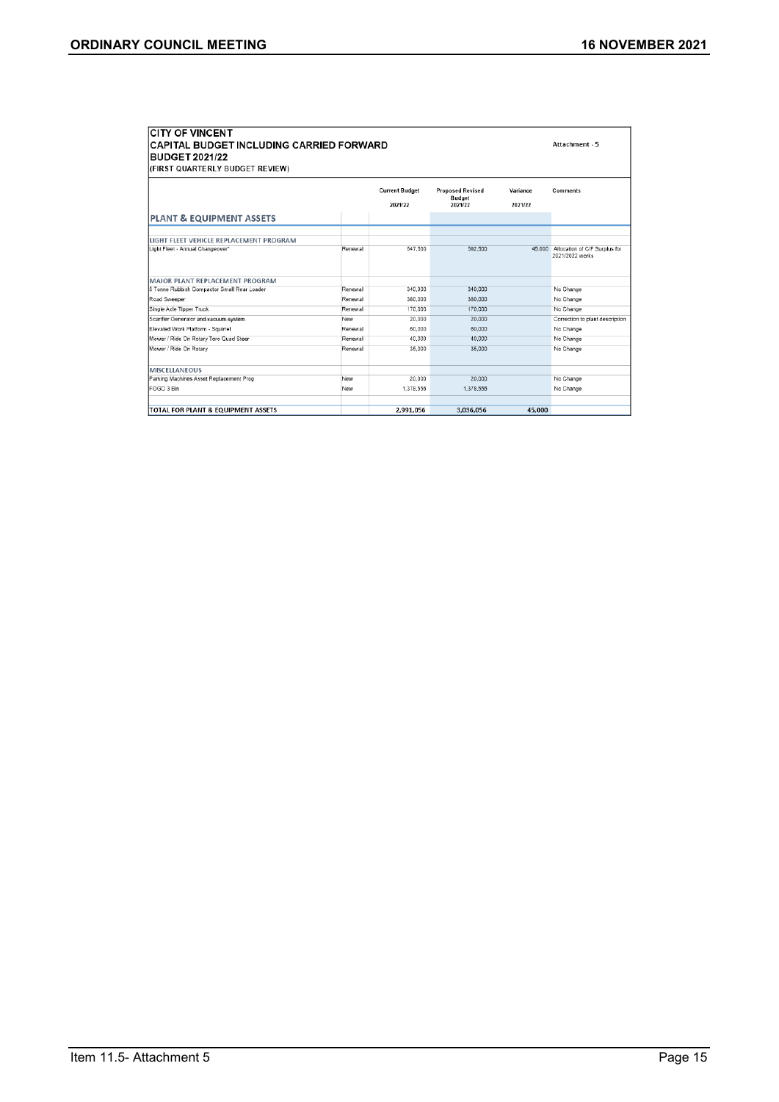| <b>CITY OF VINCENT</b>                          |                |                       |                          |          |                                                         |  |  |  |
|-------------------------------------------------|----------------|-----------------------|--------------------------|----------|---------------------------------------------------------|--|--|--|
| <b>CAPITAL BUDGET INCLUDING CARRIED FORWARD</b> | Attachment - 5 |                       |                          |          |                                                         |  |  |  |
| <b>BUDGET 2021/22</b>                           |                |                       |                          |          |                                                         |  |  |  |
| (FIRST QUARTERLY BUDGET REVIEW)                 |                |                       |                          |          |                                                         |  |  |  |
|                                                 |                |                       |                          |          |                                                         |  |  |  |
|                                                 |                | <b>Current Budget</b> | <b>Proposed Revised</b>  | Variance | <b>Comments</b>                                         |  |  |  |
|                                                 |                | 2021/22               | <b>Budget</b><br>2021/22 | 2021/22  |                                                         |  |  |  |
|                                                 |                |                       |                          |          |                                                         |  |  |  |
| PLANT & EQUIPMENT ASSETS                        |                |                       |                          |          |                                                         |  |  |  |
|                                                 |                |                       |                          |          |                                                         |  |  |  |
| LIGHT FLEET VEHICLE REPLACEMENT PROGRAM         |                |                       |                          |          |                                                         |  |  |  |
| Light Fleet - Annual Changeover"                | Renewal        | 547.500               | 592,500                  |          | 45,000 Allocation of C/F Surplus for<br>2021/2022 works |  |  |  |
|                                                 |                |                       |                          |          |                                                         |  |  |  |
|                                                 |                |                       |                          |          |                                                         |  |  |  |
| MAJOR PLANT REPLACEMENT PROGRAM                 |                |                       |                          |          |                                                         |  |  |  |
| 5 Tonne Rubbish Compactor Small Rear Loader     | Renewal        | 340,000               | 340,000                  |          | No Change                                               |  |  |  |
| Road Sweeper                                    | Renewal        | 380,000               | 380,000                  |          | No Change                                               |  |  |  |
| Single Axle Tipper Truck                        | Renewal        | 170,000               | 170,000                  |          | No Change                                               |  |  |  |
| Scarifier Generator and vacuum system           | New            | 20.000                | 20,000                   |          | Correction to plant description                         |  |  |  |
| Elevated Work Platform - Squirrel               | Renewal        | 60,000                | 60,000                   |          | No Change                                               |  |  |  |
| Mower / Ride On Rotary Toro Quad Steer          | Renewal        | 40.000                | 40,000                   |          | No Change                                               |  |  |  |
| Mower / Ride On Rotary                          | Renewal        | 35,000                | 35,000                   |          | No Change                                               |  |  |  |
|                                                 |                |                       |                          |          |                                                         |  |  |  |
| <b>MISCELLANEOUS</b>                            |                |                       |                          |          |                                                         |  |  |  |
| Parking Machines Asset Replacement Prog         | New            | 20,000                | 20,000                   |          | No Change                                               |  |  |  |
| FOGO 3 Bin                                      | New            | 1.378.556             | 1.378.556                |          | No Change                                               |  |  |  |
|                                                 |                |                       |                          |          |                                                         |  |  |  |
| TOTAL FOR PLANT & EQUIPMENT ASSETS              |                | 2,991,056             | 3,036,056                | 45,000   |                                                         |  |  |  |